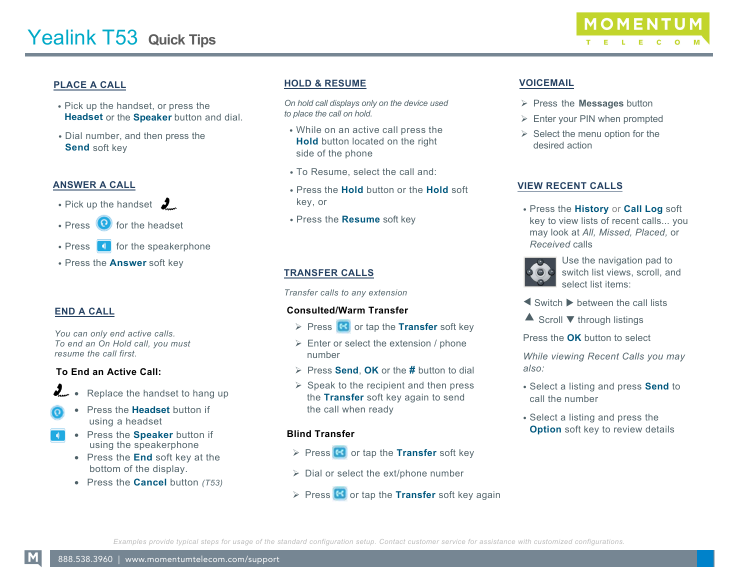

# **PLACE A CALL**

- Pick up the handset, or press the **Headset** or the **Speaker** button and dial.
- Dial number, and then press the **Send** soft key

#### **ANSWER A CALL**

- Pick up the handset  $\frac{1}{2}$
- Press  $\left( \bullet \right)$  for the headset
- $\cdot$  Press  $\begin{array}{|c|} \hline \end{array}$  for the speakerphone
- Press the **Answer** soft key

## **END A CALL**

*You can only end active calls. To end an On Hold call, you must resume the call first.* 

#### **To End an Active Call:**

- Replace the handset to hang up
- Press the **Headset** button if using a headset
- Press the **Speaker** button if using the speakerphone
	- Press the **End** soft key at the bottom of the display.
	- Press the **Cancel** button *(T53)*

## **HOLD & RESUME**

*On hold call displays only on the device used to place the call on hold.*

- While on an active call press the **Hold** button located on the right side of the phone
- To Resume, select the call and:
- Press the **Hold** button or the **Hold** soft key, or
- Press the **Resume** soft key

## **TRANSFER CALLS**

*Transfer calls to any extension*

#### **Consulted/Warm Transfer**

- **Press G** or tap the **Transfer** soft key
- $\triangleright$  Enter or select the extension / phone number
- Press **Send**, **OK** or the **#** button to dial
- $\triangleright$  Speak to the recipient and then press the **Transfer** soft key again to send the call when ready

#### **Blind Transfer**

- **Press G** or tap the **Transfer** soft key
- $\triangleright$  Dial or select the ext/phone number
- $\triangleright$  Press  $\left($ **S** or tap the **Transfer** soft key again

## **VOICEMAIL**

- Press the **Messages** button
- $\triangleright$  Enter your PIN when prompted
- $\triangleright$  Select the menu option for the desired action

#### **VIEW RECENT CALLS**

• Press the **History** or **Call Log** soft key to view lists of recent calls... you may look at *All, Missed, Placed,* or *Received* calls



Use the navigation pad to switch list views, scroll, and select list items:

- $\blacktriangleleft$  Switch  $\blacktriangleright$  between the call lists
- $\triangle$  Scroll  $\nabla$  through listings
- Press the **OK** button to select

*While viewing Recent Calls you may also:* 

- Select a listing and press **Send** to call the number
- Select a listing and press the **Option** soft key to review details

*Examples provide typical steps for usage of the standard configuration setup. Contact customer service for assistance with customized configurations.*